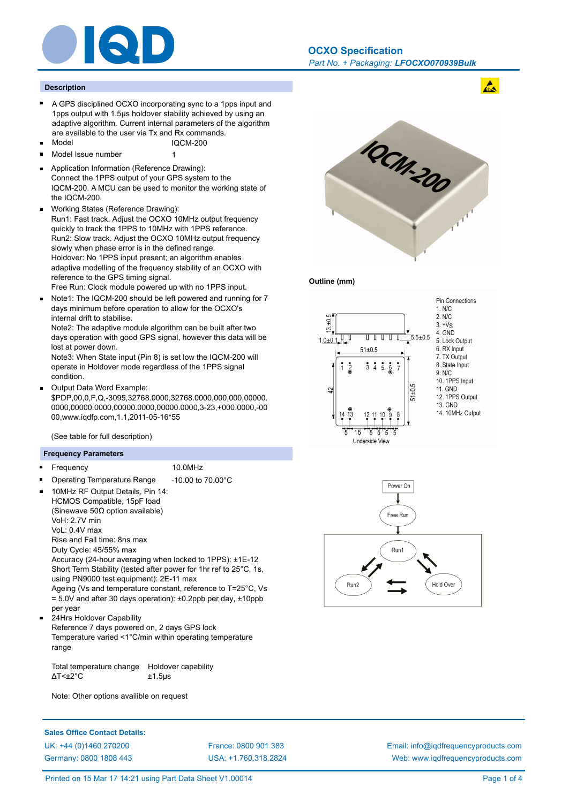

## **Description**

- $\blacksquare$ A GPS disciplined OCXO incorporating sync to a 1pps input and 1pps output with 1.5µs holdover stability achieved by using an adaptive algorithm. Current internal parameters of the algorithm are available to the user via Tx and Rx commands.
- Model IQCM-200
- Model Issue number 1  $\blacksquare$
- Application Information (Reference Drawing): Connect the 1PPS output of your GPS system to the IQCM-200. A MCU can be used to monitor the working state of the IQCM-200.
- Working States (Reference Drawing): Run1: Fast track. Adjust the OCXO 10MHz output frequency quickly to track the 1PPS to 10MHz with 1PPS reference. Run2: Slow track. Adjust the OCXO 10MHz output frequency slowly when phase error is in the defined range. Holdover: No 1PPS input present; an algorithm enables adaptive modelling of the frequency stability of an OCXO with reference to the GPS timing signal.

Free Run: Clock module powered up with no 1PPS input.

Note1: The IQCM-200 should be left powered and running for 7 days minimum before operation to allow for the OCXO's internal drift to stabilise.

Note2: The adaptive module algorithm can be built after two days operation with good GPS signal, however this data will be lost at power down.

Note3: When State input (Pin 8) is set low the IQCM-200 will operate in Holdover mode regardless of the 1PPS signal condition.

Output Data Word Example:

\$PDP,00,0,F,Q,-3095,32768.0000,32768.0000,000,000,00000. 0000,00000.0000,00000.0000,00000.0000,3-23,+000.0000,-00 00,www.iqdfp.com,1.1,2011-05-16\*55

(See table for full description)

## **Frequency Parameters**

- Frequency 10.0MHz  $\blacksquare$ 
	-
- Operating Temperature Range -10.00 to 70.00°C 10MHz RF Output Details, Pin 14:
- HCMOS Compatible, 15pF load (Sinewave 50Ω option available) VoH: 2.7V min VoL: 0.4V max Rise and Fall time: 8ns max Duty Cycle: 45/55% max

Accuracy (24-hour averaging when locked to 1PPS): ±1E-12 Short Term Stability (tested after power for 1hr ref to 25°C, 1s, using PN9000 test equipment): 2E-11 max

Ageing (Vs and temperature constant, reference to T=25°C, Vs = 5.0V and after 30 days operation): ±0.2ppb per day, ±10ppb per year

24Hrs Holdover Capability

Reference 7 days powered on, 2 days GPS lock Temperature varied <1°C/min within operating temperature range

Total temperature change Holdover capability  $\Delta$ T< $\pm$ 2°C  $\pm$ 1.5µs

Note: Other options availible on request









**Sales Office Contact Details:** UK: +44 (0)1460 270200 France: 0800 901 383

Germany: 0800 1808 443

USA: +1.760.318.2824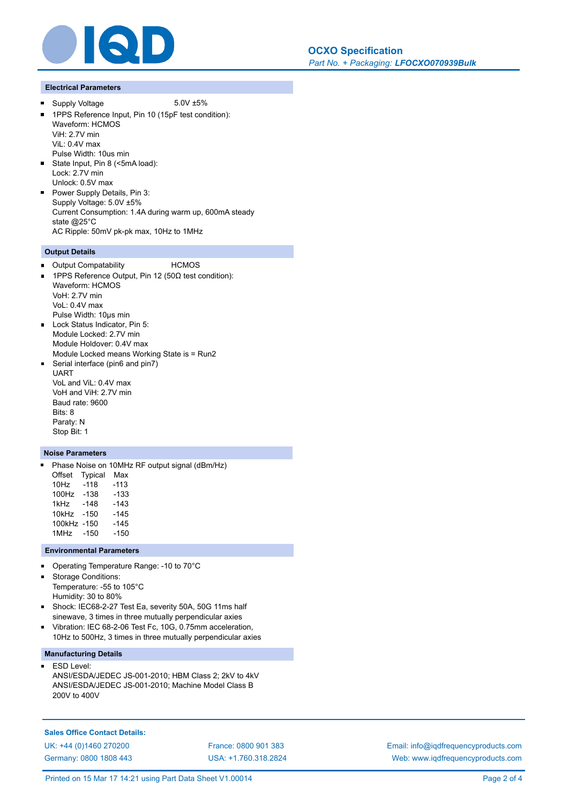

## **Electrical Parameters**

 $\blacksquare$ 

Supply Voltage 5.0V ±5%

- 1PPS Reference Input, Pin 10 (15pF test condition): Waveform: HCMOS ViH: 2.7V min ViL: 0.4V max Pulse Width: 10us min State Input, Pin 8 (<5mA load): Lock: 2.7V min Unlock: 0.5V max
- **Power Supply Details, Pin 3:** Supply Voltage: 5.0V ±5% Current Consumption: 1.4A during warm up, 600mA steady state @25°C AC Ripple: 50mV pk-pk max, 10Hz to 1MHz

# **Output Details**

- Output Compatability HCMOS
- 1PPS Reference Output. Pin 12 (50Ω test condition): Waveform: HCMOS VoH: 2.7V min VoL: 0.4V max Pulse Width: 10µs min Lock Status Indicator, Pin 5: Module Locked: 2.7V min
- Module Holdover: 0.4V max Module Locked means Working State is = Run2 Serial interface (pin6 and pin7)
- UART VoL and ViL: 0.4V max VoH and ViH: 2.7V min Baud rate: 9600 Bits: 8 Paraty: N Stop Bit: 1

# **Noise Parameters**

Phase Noise on 10MHz RF output signal (dBm/Hz) Offset Typical Max 10Hz -118 -113 100Hz -138 -133 1kHz -148 -143 10kHz -150 -145 100kHz -150 -145 1MHz -150 -150

### **Environmental Parameters**

- Operating Temperature Range: -10 to 70°C
- Storage Conditions:  $\blacksquare$

Temperature: -55 to 105°C Humidity: 30 to 80%

- $\blacksquare$ Shock: IEC68-2-27 Test Ea, severity 50A, 50G 11ms half sinewave, 3 times in three mutually perpendicular axies
- Vibration: IEC 68-2-06 Test Fc, 10G, 0.75mm acceleration,  $\blacksquare$ 10Hz to 500Hz, 3 times in three mutually perpendicular axies

## **Manufacturing Details**

ESD Level:  $\blacksquare$ 

ANSI/ESDA/JEDEC JS-001-2010; HBM Class 2; 2kV to 4kV ANSI/ESDA/JEDEC JS-001-2010; Machine Model Class B 200V to 400V

# **Sales Office Contact Details:** UK: +44 (0)1460 270200 France: 0800 901 383 Germany: 0800 1808 443

USA: +1.760.318.2824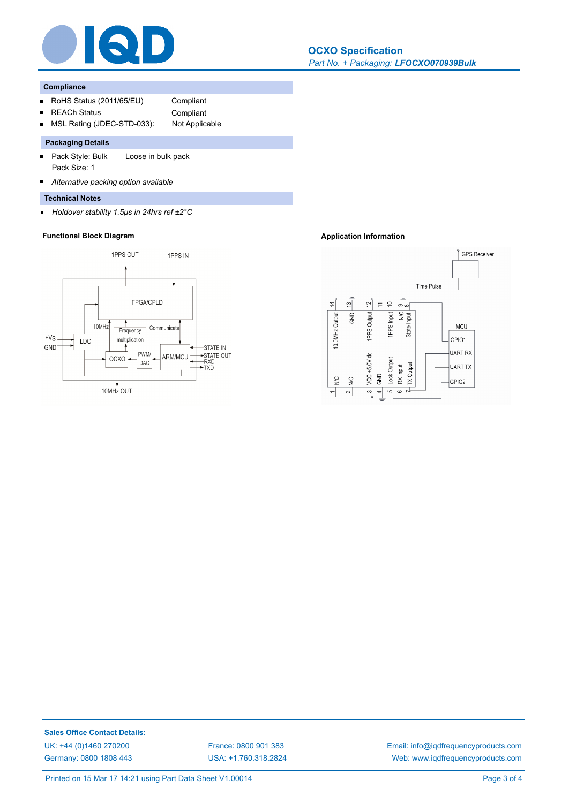

## **Compliance**

 $\blacksquare$ 

- RoHS Status (2011/65/EU) Compliant  $\blacksquare$
- REACh Status Compliant
- 
- 
- MSL Rating (JDEC-STD-033): Not Applicable

# **Packaging Details**

- Pack Style: Bulk Loose in bulk pack  $\blacksquare$ Pack Size: 1
- $\blacksquare$ *Alternative packing option available*
- **Technical Notes**
- *Holdover stability 1.5μs in 24hrs ref ±2°C*  $\blacksquare$

# **Functional Block Diagram Application Information**





**Sales Office Contact Details:** UK: +44 (0)1460 270200 France: 0800 901 383 Germany: 0800 1808 443

USA: +1.760.318.2824